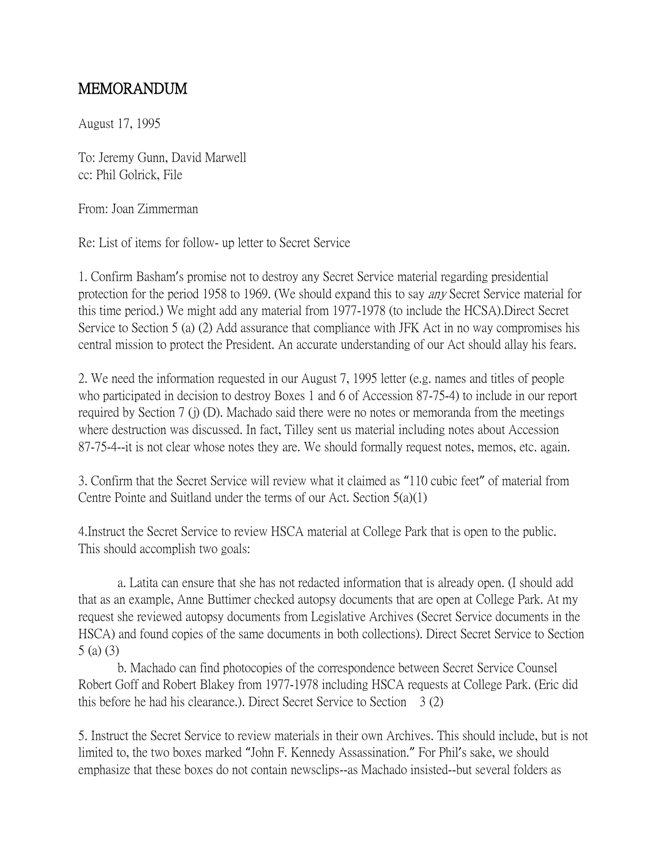## MEMORANDUM

August 17, 1995

To: Jeremy Gunn, David Marwell cc: Phil Golrick, File

From: Joan Zimmerman

Re: List of items for follow- up letter to Secret Service

1. Confirm Basham's promise not to destroy any Secret Service material regarding presidential protection for the period 1958 to 1969. (We should expand this to say any Secret Service material for this time period.) We might add any material from 1977-1978 (to include the HCSA).Direct Secret Service to Section 5 (a) (2) Add assurance that compliance with JFK Act in no way compromises his central mission to protect the President. An accurate understanding of our Act should allay his fears.

2. We need the information requested in our August 7, 1995 letter (e.g. names and titles of people who participated in decision to destroy Boxes 1 and 6 of Accession 87-75-4) to include in our report required by Section 7 (j) (D). Machado said there were no notes or memoranda from the meetings where destruction was discussed. In fact, Tilley sent us material including notes about Accession 87-75-4--it is not clear whose notes they are. We should formally request notes, memos, etc. again.

3. Confirm that the Secret Service will review what it claimed as "110 cubic feet" of material from Centre Pointe and Suitland under the terms of our Act. Section 5(a)(1)

4.Instruct the Secret Service to review HSCA material at College Park that is open to the public. This should accomplish two goals:

a. Latita can ensure that she has not redacted information that is already open. (I should add that as an example, Anne Buttimer checked autopsy documents that are open at College Park. At my request she reviewed autopsy documents from Legislative Archives (Secret Service documents in the HSCA) and found copies of the same documents in both collections). Direct Secret Service to Section 5 (a) (3)

b. Machado can find photocopies of the correspondence between Secret Service Counsel Robert Goff and Robert Blakey from 1977-1978 including HSCA requests at College Park. (Eric did this before he had his clearance.). Direct Secret Service to Section 3 (2)

5. Instruct the Secret Service to review materials in their own Archives. This should include, but is not limited to, the two boxes marked "John F. Kennedy Assassination." For Phil's sake, we should emphasize that these boxes do not contain newsclips--as Machado insisted--but several folders as